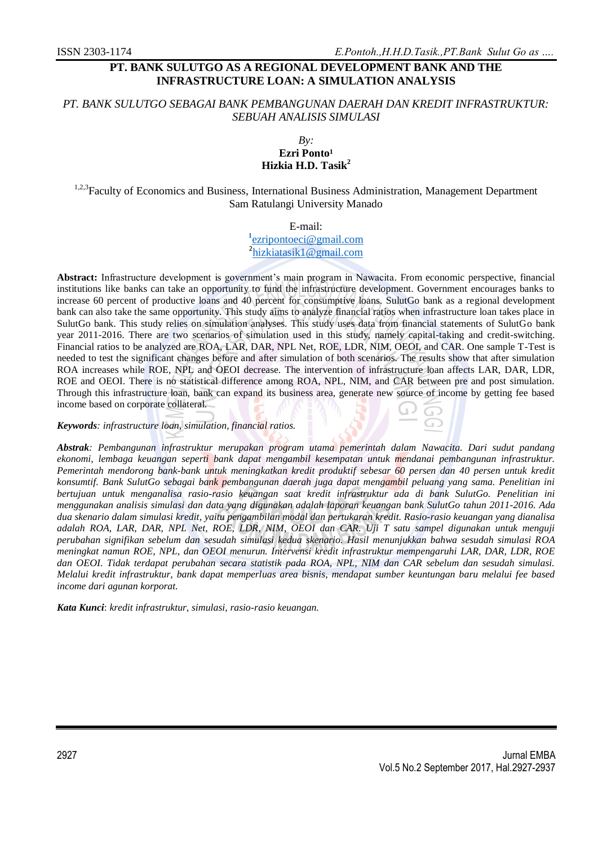# **PT. BANK SULUTGO AS A REGIONAL DEVELOPMENT BANK AND THE INFRASTRUCTURE LOAN: A SIMULATION ANALYSIS**

## *PT. BANK SULUTGO SEBAGAI BANK PEMBANGUNAN DAERAH DAN KREDIT INFRASTRUKTUR: SEBUAH ANALISIS SIMULASI*

#### *By:* Ezri Ponto<sup>1</sup> **Hizkia H.D. Tasik<sup>2</sup>**

<sup>1,2,3</sup>Faculty of Economics and Business, International Business Administration, Management Department Sam Ratulangi University Manado

E-mail:

**1** [ezripontoeci@gmail.com](mailto:ezripontoeci@gmail.com)

<sup>2</sup>[hizkiatasik1@gmail.com](mailto:2hizkiatasik1@gmail.com)

**Abstract:** Infrastructure development is government's main program in Nawacita. From economic perspective, financial institutions like banks can take an opportunity to fund the infrastructure development. Government encourages banks to increase 60 percent of productive loans and 40 percent for consumptive loans. SulutGo bank as a regional development bank can also take the same opportunity. This study aims to analyze financial ratios when infrastructure loan takes place in SulutGo bank. This study relies on simulation analyses. This study uses data from financial statements of SulutGo bank year 2011-2016. There are two scenarios of simulation used in this study, namely capital-taking and credit-switching. Financial ratios to be analyzed are ROA, LAR, DAR, NPL Net, ROE, LDR, NIM, OEOI, and CAR. One sample T-Test is needed to test the significant changes before and after simulation of both scenarios. The results show that after simulation ROA increases while ROE, NPL and OEOI decrease. The intervention of infrastructure loan affects LAR, DAR, LDR, ROE and OEOI. There is no statistical difference among ROA, NPL, NIM, and CAR between pre and post simulation. Through this infrastructure loan, bank can expand its business area, generate new source of income by getting fee based income based on corporate collateral.

*Keywords: infrastructure loan, simulation, financial ratios.*

*Abstrak: Pembangunan infrastruktur merupakan program utama pemerintah dalam Nawacita. Dari sudut pandang ekonomi, lembaga keuangan seperti bank dapat mengambil kesempatan untuk mendanai pembangunan infrastruktur. Pemerintah mendorong bank-bank untuk meningkatkan kredit produktif sebesar 60 persen dan 40 persen untuk kredit konsumtif. Bank SulutGo sebagai bank pembangunan daerah juga dapat mengambil peluang yang sama. Penelitian ini bertujuan untuk menganalisa rasio-rasio keuangan saat kredit infrastruktur ada di bank SulutGo. Penelitian ini menggunakan analisis simulasi dan data yang digunakan adalah laporan keuangan bank SulutGo tahun 2011-2016. Ada dua skenario dalam simulasi kredit, yaitu pengambilan modal dan pertukaran kredit. Rasio-rasio keuangan yang dianalisa adalah ROA, LAR, DAR, NPL Net, ROE, LDR, NIM, OEOI dan CAR. Uji T satu sampel digunakan untuk menguji perubahan signifikan sebelum dan sesudah simulasi kedua skenario. Hasil menunjukkan bahwa sesudah simulasi ROA meningkat namun ROE, NPL, dan OEOI menurun. Intervensi kredit infrastruktur mempengaruhi LAR, DAR, LDR, ROE dan OEOI. Tidak terdapat perubahan secara statistik pada ROA, NPL, NIM dan CAR sebelum dan sesudah simulasi. Melalui kredit infrastruktur, bank dapat memperluas area bisnis, mendapat sumber keuntungan baru melalui fee based income dari agunan korporat.*

*Kata Kunci*: *kredit infrastruktur, simulasi, rasio-rasio keuangan.*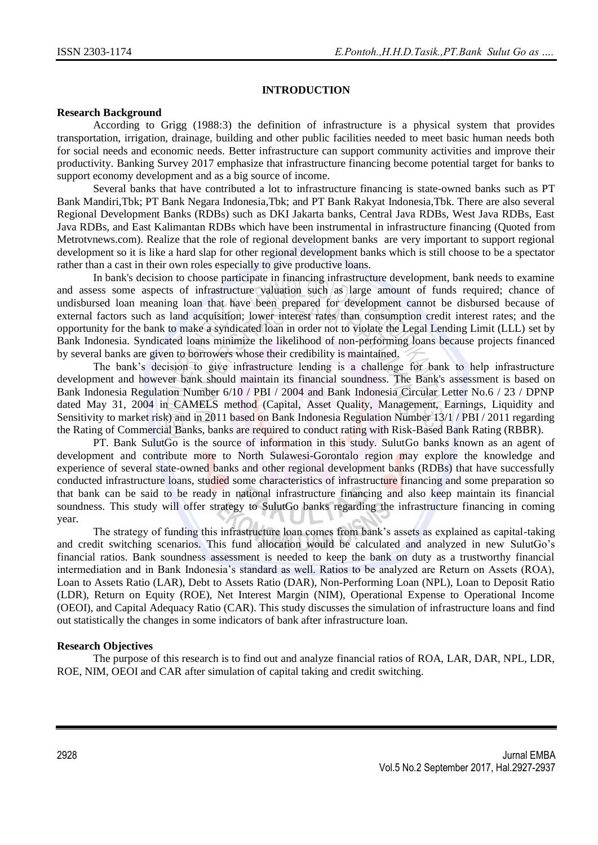### **INTRODUCTION**

#### **Research Background**

According to Grigg (1988:3) the definition of infrastructure is a physical system that provides transportation, irrigation, drainage, building and other public facilities needed to meet basic human needs both for social needs and economic needs. Better infrastructure can support community activities and improve their productivity. Banking Survey 2017 emphasize that infrastructure financing become potential target for banks to support economy development and as a big source of income.

Several banks that have contributed a lot to infrastructure financing is state-owned banks such as PT Bank Mandiri,Tbk; PT Bank Negara Indonesia,Tbk; and PT Bank Rakyat Indonesia,Tbk. There are also several Regional Development Banks (RDBs) such as DKI Jakarta banks, Central Java RDBs, West Java RDBs, East Java RDBs, and East Kalimantan RDBs which have been instrumental in infrastructure financing (Quoted from Metrotvnews.com). Realize that the role of regional development banks are very important to support regional development so it is like a hard slap for other regional development banks which is still choose to be a spectator rather than a cast in their own roles especially to give productive loans.

In bank's decision to choose participate in financing infrastructure development, bank needs to examine and assess some aspects of infrastructure valuation such as large amount of funds required; chance of undisbursed loan meaning loan that have been prepared for development cannot be disbursed because of external factors such as land acquisition; lower interest rates than consumption credit interest rates; and the opportunity for the bank to make a syndicated loan in order not to violate the Legal Lending Limit (LLL) set by Bank Indonesia. Syndicated loans minimize the likelihood of non-performing loans because projects financed by several banks are given to borrowers whose their credibility is maintained.

The bank's decision to give infrastructure lending is a challenge for bank to help infrastructure development and however bank should maintain its financial soundness. The Bank's assessment is based on Bank Indonesia Regulation Number 6/10 / PBI / 2004 and Bank Indonesia Circular Letter No.6 / 23 / DPNP dated May 31, 2004 in CAMELS method (Capital, Asset Quality, Management, Earnings, Liquidity and Sensitivity to market risk) and in 2011 based on Bank Indonesia Regulation Number 13/1 / PBI / 2011 regarding the Rating of Commercial Banks, banks are required to conduct rating with Risk-Based Bank Rating (RBBR).

PT. Bank SulutGo is the source of information in this study. SulutGo banks known as an agent of development and contribute more to North Sulawesi-Gorontalo region may explore the knowledge and experience of several state-owned banks and other regional development banks (RDBs) that have successfully conducted infrastructure loans, studied some characteristics of infrastructure financing and some preparation so that bank can be said to be ready in national infrastructure financing and also keep maintain its financial soundness. This study will offer strategy to SulutGo banks regarding the infrastructure financing in coming year.

The strategy of funding this infrastructure loan comes from bank's assets as explained as capital-taking and credit switching scenarios. This fund allocation would be calculated and analyzed in new SulutGo's financial ratios. Bank soundness assessment is needed to keep the bank on duty as a trustworthy financial intermediation and in Bank Indonesia's standard as well. Ratios to be analyzed are Return on Assets (ROA), Loan to Assets Ratio (LAR), Debt to Assets Ratio (DAR), Non-Performing Loan (NPL), Loan to Deposit Ratio (LDR), Return on Equity (ROE), Net Interest Margin (NIM), Operational Expense to Operational Income (OEOI), and Capital Adequacy Ratio (CAR). This study discusses the simulation of infrastructure loans and find out statistically the changes in some indicators of bank after infrastructure loan.

### **Research Objectives**

The purpose of this research is to find out and analyze financial ratios of ROA, LAR, DAR, NPL, LDR, ROE, NIM, OEOI and CAR after simulation of capital taking and credit switching.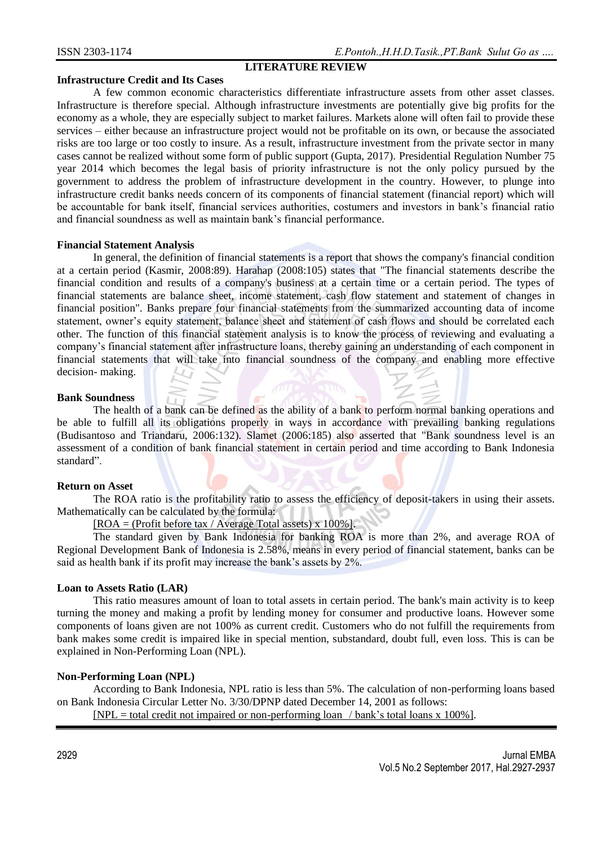## **LITERATURE REVIEW**

### **Infrastructure Credit and Its Cases**

A few common economic characteristics differentiate infrastructure assets from other asset classes. Infrastructure is therefore special. Although infrastructure investments are potentially give big profits for the economy as a whole, they are especially subject to market failures. Markets alone will often fail to provide these services – either because an infrastructure project would not be profitable on its own, or because the associated risks are too large or too costly to insure. As a result, infrastructure investment from the private sector in many cases cannot be realized without some form of public support (Gupta, 2017). Presidential Regulation Number 75 year 2014 which becomes the legal basis of priority infrastructure is not the only policy pursued by the government to address the problem of infrastructure development in the country. However, to plunge into infrastructure credit banks needs concern of its components of financial statement (financial report) which will be accountable for bank itself, financial services authorities, costumers and investors in bank's financial ratio and financial soundness as well as maintain bank's financial performance.

### **Financial Statement Analysis**

In general, the definition of financial statements is a report that shows the company's financial condition at a certain period (Kasmir, 2008:89). Harahap (2008:105) states that "The financial statements describe the financial condition and results of a company's business at a certain time or a certain period. The types of financial statements are balance sheet, income statement, cash flow statement and statement of changes in financial position". Banks prepare four financial statements from the summarized accounting data of income statement, owner's equity statement, balance sheet and statement of cash flows and should be correlated each other. The function of this financial statement analysis is to know the process of reviewing and evaluating a company's financial statement after infrastructure loans, thereby gaining an understanding of each component in financial statements that will take into financial soundness of the company and enabling more effective decision- making.

### **Bank Soundness**

The health of a bank can be defined as the ability of a bank to perform normal banking operations and be able to fulfill all its obligations properly in ways in accordance with prevailing banking regulations (Budisantoso and Triandaru, 2006:132). Slamet (2006:185) also asserted that "Bank soundness level is an assessment of a condition of bank financial statement in certain period and time according to Bank Indonesia standard".

### **Return on Asset**

The ROA ratio is the profitability ratio to assess the efficiency of deposit-takers in using their assets. Mathematically can be calculated by the formula:

 $[ROA = (Profit before tax / Average Total assets) \times 100\%]$ 

The standard given by Bank Indonesia for banking ROA is more than 2%, and average ROA of Regional Development Bank of Indonesia is 2.58%, means in every period of financial statement, banks can be said as health bank if its profit may increase the bank's assets by 2%.

### **Loan to Assets Ratio (LAR)**

This ratio measures amount of loan to total assets in certain period. The bank's main activity is to keep turning the money and making a profit by lending money for consumer and productive loans. However some components of loans given are not 100% as current credit. Customers who do not fulfill the requirements from bank makes some credit is impaired like in special mention, substandard, doubt full, even loss. This is can be explained in Non-Performing Loan (NPL).

### **Non-Performing Loan (NPL)**

According to Bank Indonesia, NPL ratio is less than 5%. The calculation of non-performing loans based on Bank Indonesia Circular Letter No. 3/30/DPNP dated December 14, 2001 as follows:  $[NPL = total credit not impaired or non-performing loan / bank's total loans x 100%].$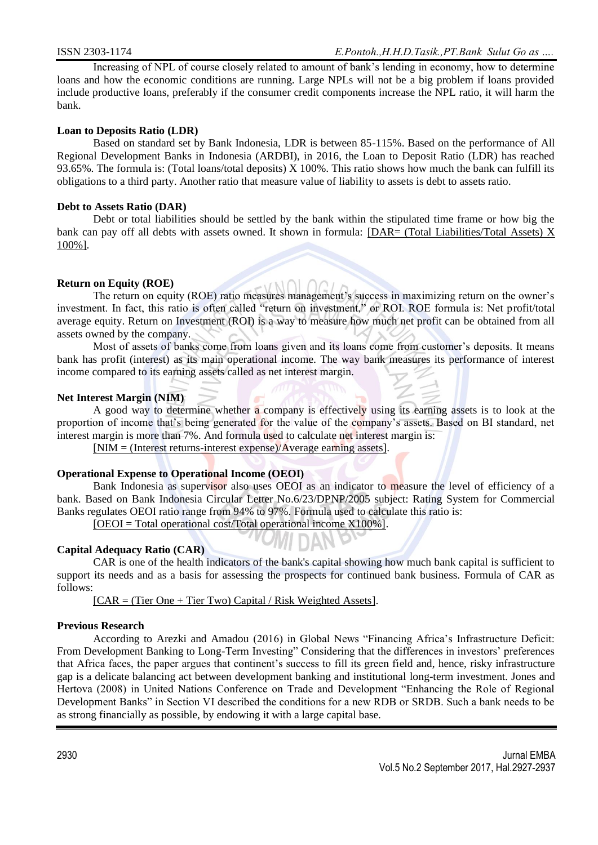Increasing of NPL of course closely related to amount of bank's lending in economy, how to determine loans and how the economic conditions are running. Large NPLs will not be a big problem if loans provided include productive loans, preferably if the consumer credit components increase the NPL ratio, it will harm the bank.

## **Loan to Deposits Ratio (LDR)**

Based on standard set by Bank Indonesia, LDR is between 85-115%. Based on the performance of All Regional Development Banks in Indonesia (ARDBI), in 2016, the Loan to Deposit Ratio (LDR) has reached 93.65%. The formula is: (Total loans/total deposits) X 100%. This ratio shows how much the bank can fulfill its obligations to a third party. Another ratio that measure value of liability to assets is debt to assets ratio.

### **Debt to Assets Ratio (DAR)**

Debt or total liabilities should be settled by the bank within the stipulated time frame or how big the bank can pay off all debts with assets owned. It shown in formula: [DAR= (Total Liabilities/Total Assets) X 100%].

## **Return on Equity (ROE)**

The return on equity (ROE) ratio measures management's success in maximizing return on the owner's investment. In fact, this ratio is often called "return on investment," or ROI. ROE formula is: Net profit/total average equity. Return on Investment (ROI) is a way to measure how much net profit can be obtained from all assets owned by the company.

Most of assets of banks come from loans given and its loans come from customer's deposits. It means bank has profit (interest) as its main operational income. The way bank measures its performance of interest income compared to its earning assets called as net interest margin.

## **Net Interest Margin (NIM)**

A good way to determine whether a company is effectively using its earning assets is to look at the proportion of income that's being generated for the value of the company's assets. Based on BI standard, net interest margin is more than 7%. And formula used to calculate net interest margin is:

[NIM = (Interest returns-interest expense)/Average earning assets].

### **Operational Expense to Operational Income (OEOI)**

Bank Indonesia as supervisor also uses OEOI as an indicator to measure the level of efficiency of a bank. Based on Bank Indonesia Circular Letter No.6/23/DPNP/2005 subject: Rating System for Commercial Banks regulates OEOI ratio range from 94% to 97%. Formula used to calculate this ratio is:

[OEOI = Total operational cost/Total operational income X100%].

# **Capital Adequacy Ratio (CAR)**

CAR is one of the health indicators of the bank's capital showing how much bank capital is sufficient to support its needs and as a basis for assessing the prospects for continued bank business. Formula of CAR as follows:

 $[CAR = (Tier One + Tier Two) Capital / Risk Weighted Assets].$ 

### **Previous Research**

According to Arezki and Amadou (2016) in Global News "Financing Africa's Infrastructure Deficit: From Development Banking to Long-Term Investing" Considering that the differences in investors' preferences that Africa faces, the paper argues that continent's success to fill its green field and, hence, risky infrastructure gap is a delicate balancing act between development banking and institutional long-term investment. Jones and Hertova (2008) in United Nations Conference on Trade and Development "Enhancing the Role of Regional Development Banks" in Section VI described the conditions for a new RDB or SRDB. Such a bank needs to be as strong financially as possible, by endowing it with a large capital base.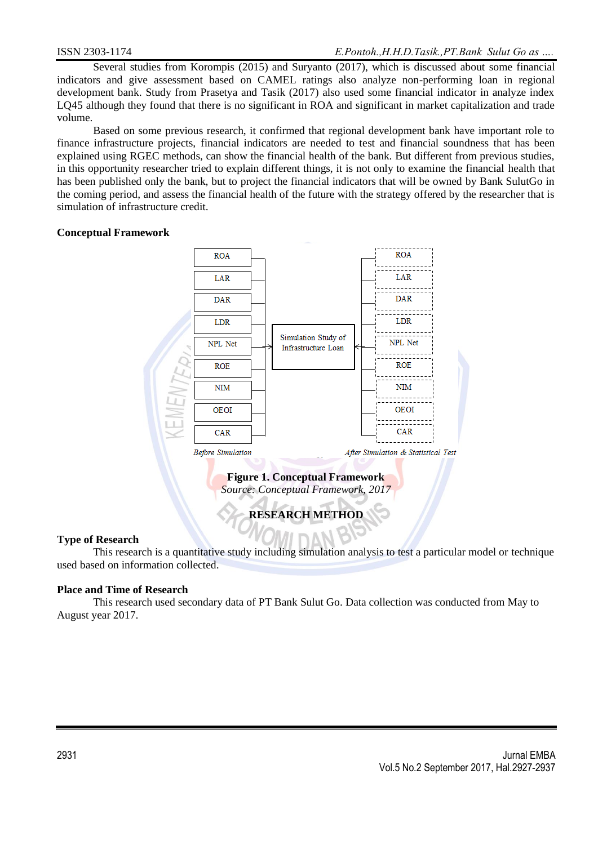Several studies from Korompis (2015) and Suryanto (2017), which is discussed about some financial indicators and give assessment based on CAMEL ratings also analyze non-performing loan in regional development bank. Study from Prasetya and Tasik (2017) also used some financial indicator in analyze index LQ45 although they found that there is no significant in ROA and significant in market capitalization and trade volume.

Based on some previous research, it confirmed that regional development bank have important role to finance infrastructure projects, financial indicators are needed to test and financial soundness that has been explained using RGEC methods, can show the financial health of the bank. But different from previous studies, in this opportunity researcher tried to explain different things, it is not only to examine the financial health that has been published only the bank, but to project the financial indicators that will be owned by Bank SulutGo in the coming period, and assess the financial health of the future with the strategy offered by the researcher that is simulation of infrastructure credit.

## **Conceptual Framework**



### **Type of Research**

This research is a quantitative study including simulation analysis to test a particular model or technique used based on information collected.

# **Place and Time of Research**

This research used secondary data of PT Bank Sulut Go. Data collection was conducted from May to August year 2017.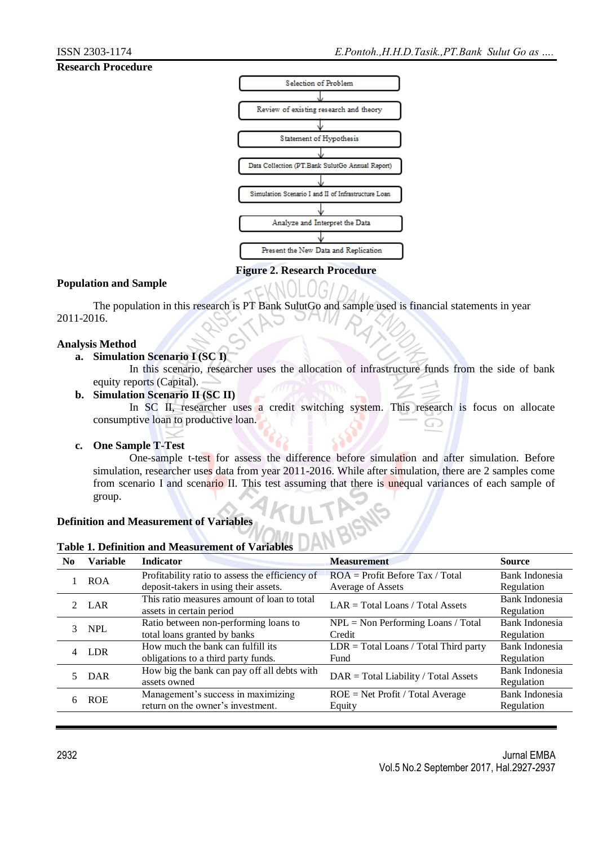## **Research Procedure**



#### **Figure 2. Research Procedure**

## **Population and Sample**

The population in this research is PT Bank SulutGo and sample used is financial statements in year 2011-2016.

### **Analysis Method**

# **a. Simulation Scenario I (SC I)**

In this scenario, researcher uses the allocation of infrastructure funds from the side of bank equity reports (Capital).

### **b. Simulation Scenario II (SC II)**

In SC II, researcher uses a credit switching system. This research is focus on allocate consumptive loan to productive loan. ⋒

### **c. One Sample T-Test**

One-sample t-test for assess the difference before simulation and after simulation. Before simulation, researcher uses data from year 2011-2016. While after simulation, there are 2 samples come from scenario I and scenario II. This test assuming that there is unequal variances of each sample of group.

LTP NS

### **Definition and Measurement of Variables**

| <b>Table 1. Definition and Measurement of Variables</b> |  |
|---------------------------------------------------------|--|
|---------------------------------------------------------|--|

| N <sub>0</sub> | <b>Variable</b> | <b>Indicator</b>                                | <b>Measurement</b>                                          | <b>Source</b>  |
|----------------|-----------------|-------------------------------------------------|-------------------------------------------------------------|----------------|
|                | <b>ROA</b>      | Profitability ratio to assess the efficiency of | $ROA = Profit Before Tax / Total$                           | Bank Indonesia |
|                |                 | deposit-takers in using their assets.           | Average of Assets                                           | Regulation     |
|                | 2 LAR           | This ratio measures amount of loan to total     | $LAR = Total Loans / Total Assets$                          | Bank Indonesia |
|                |                 | assets in certain period                        |                                                             | Regulation     |
|                | 3 NPL           | Ratio between non-performing loans to           | $NPL = Non Performing Loans / Total$                        | Bank Indonesia |
|                |                 | total loans granted by banks                    | Credit                                                      | Regulation     |
|                | 4 LDR           | How much the bank can fulfill its               | $LDR = Total Loans / Total Third party$                     | Bank Indonesia |
|                |                 | obligations to a third party funds.             | Fund                                                        | Regulation     |
|                | DAR             | How big the bank can pay off all debts with     | $\text{DAR} = \text{Total Liability} / \text{Total Assets}$ | Bank Indonesia |
|                |                 | assets owned                                    |                                                             | Regulation     |
| 6              | <b>ROE</b>      | Management's success in maximizing              | $ROE = Net Profit / Total Average$                          | Bank Indonesia |
|                |                 | return on the owner's investment.               | Equity                                                      | Regulation     |
|                |                 |                                                 |                                                             |                |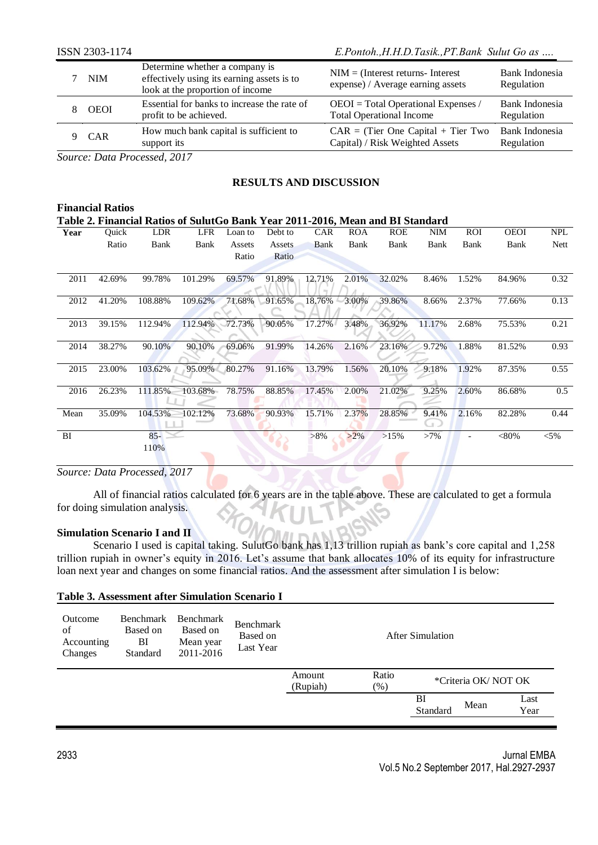|        | ISSN 2303-1174            |                                                                                                                  | E.Pontoh., H.H.D.Tasik., PT.Bank Sulut Go as                               |                              |  |  |  |
|--------|---------------------------|------------------------------------------------------------------------------------------------------------------|----------------------------------------------------------------------------|------------------------------|--|--|--|
|        | <b>NIM</b>                | Determine whether a company is<br>effectively using its earning assets is to<br>look at the proportion of income | $NIM = (Interest returns - Interest)$<br>expense) / Average earning assets | Bank Indonesia<br>Regulation |  |  |  |
|        | <b>OEOI</b>               | Essential for banks to increase the rate of<br>profit to be achieved.                                            | $OEOI = Total Operational Express /$<br><b>Total Operational Income</b>    | Bank Indonesia<br>Regulation |  |  |  |
|        | <b>CAR</b>                | How much bank capital is sufficient to<br>support its                                                            | $CAR = (Tier One Capital + Tier Two)$<br>Capital) / Risk Weighted Assets   | Bank Indonesia<br>Regulation |  |  |  |
| $\sim$ | $\mathbf{r}$ $\mathbf{r}$ | $\cdots$                                                                                                         |                                                                            |                              |  |  |  |

*Source: Data Processed, 2017*

# **RESULTS AND DISCUSSION**

|      | <b>Financial Ratios</b>                                                        |         |            |         |               |            |            |            |             |            |             |            |
|------|--------------------------------------------------------------------------------|---------|------------|---------|---------------|------------|------------|------------|-------------|------------|-------------|------------|
|      | Table 2. Financial Ratios of SulutGo Bank Year 2011-2016, Mean and BI Standard |         |            |         |               |            |            |            |             |            |             |            |
| Year | Quick                                                                          | LDR     | <b>LFR</b> | Loan to | Debt to       | <b>CAR</b> | <b>ROA</b> | <b>ROE</b> | <b>NIM</b>  | <b>ROI</b> | <b>OEOI</b> | <b>NPL</b> |
|      | Ratio                                                                          | Bank    | Bank       | Assets  | <b>Assets</b> | Bank       | Bank       | Bank       | Bank        | Bank       | Bank        | Nett       |
|      |                                                                                |         |            | Ratio   | Ratio         |            |            |            |             |            |             |            |
| 2011 | 42.69%                                                                         | 99.78%  | 101.29%    | 69.57%  | 91.89%        | 12.71%     | 2.01%      | 32.02%     | 8.46%       | 1.52%      | 84.96%      | 0.32       |
| 2012 | 41.20%                                                                         | 108.88% | 109.62%    | 71.68%  | 91.65%        | 18.76%     | 3.00%      | 39.86%     | 8.66%       | 2.37%      | 77.66%      | 0.13       |
| 2013 | 39.15%                                                                         | 112.94% | 112.94%    | 72.73%  | 90.05%        | 17.27%     | 3.48%      | 36.92%     | 11.17%      | 2.68%      | 75.53%      | 0.21       |
| 2014 | 38.27%                                                                         | 90.10%  | 90.10%     | 69.06%  | 91.99%        | 14.26%     | 2.16%      | 23.16%     | 9.72%       | 1.88%      | 81.52%      | 0.93       |
| 2015 | 23.00%                                                                         | 103.62% | 95.09%     | 80.27%  | 91.16%        | 13.79%     | 1.56%      | 20.10%     | 9.18%       | 1.92%      | 87.35%      | 0.55       |
| 2016 | 26.23%                                                                         | 111.85% | 103.68%    | 78.75%  | 88.85%        | 17.45%     | 2.00%      | 21.02%     | 9.25%       | 2.60%      | 86.68%      | 0.5        |
| Mean | 35.09%                                                                         | 104.53% | 102.12%    | 73.68%  | 90.93%        | 15.71%     | 2.37%      | 28.85%     | 9.41%<br>u. | 2.16%      | 82.28%      | 0.44       |
| BI   |                                                                                | $85 -$  |            |         |               | $>8\%$     | $>2\%$     | >15%       | $>7\%$      |            | $<$ 80%     | $< 5\%$    |
|      |                                                                                | 110%    |            |         |               |            |            |            |             |            |             |            |
|      |                                                                                |         |            |         |               |            |            |            |             |            |             |            |

## *Source: Data Processed, 2017*

All of financial ratios calculated for 6 years are in the table above. These are calculated to get a formula for doing simulation analysis.

### **Simulation Scenario I and II**

Scenario I used is capital taking. SulutGo bank has 1,13 trillion rupiah as bank's core capital and 1,258 trillion rupiah in owner's equity in 2016. Let's assume that bank allocates 10% of its equity for infrastructure loan next year and changes on some financial ratios. And the assessment after simulation I is below:

| Outcome<br>of<br>Accounting<br>Changes | Benchmark<br>Based on<br>BI<br>Standard | Benchmark<br>Based on<br>Mean year<br>2011-2016 | Benchmark<br>Based on<br>Last Year | <b>After Simulation</b> |                 |                |                     |              |
|----------------------------------------|-----------------------------------------|-------------------------------------------------|------------------------------------|-------------------------|-----------------|----------------|---------------------|--------------|
|                                        |                                         |                                                 |                                    | Amount<br>(Rupiah)      | Ratio<br>$(\%)$ |                | *Criteria OK/NOT OK |              |
|                                        |                                         |                                                 |                                    |                         |                 | BI<br>Standard | Mean                | Last<br>Year |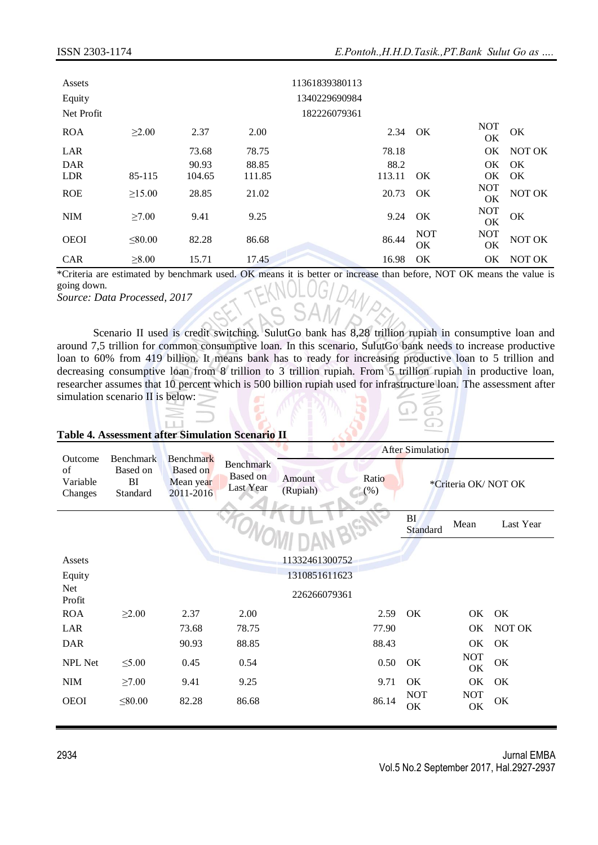| Assets<br>Equity<br>Net Profit |              |        |        | 11361839380113<br>1340229690984<br>182226079361 |                         |                  |        |
|--------------------------------|--------------|--------|--------|-------------------------------------------------|-------------------------|------------------|--------|
| <b>ROA</b>                     | $\geq 2.00$  | 2.37   | 2.00   | 2.34                                            | OK                      | <b>NOT</b><br>OK | OK     |
| LAR                            |              | 73.68  | 78.75  | 78.18                                           |                         | OK               | NOT OK |
| <b>DAR</b>                     |              | 90.93  | 88.85  | 88.2                                            |                         | OK.              | OK     |
| <b>LDR</b>                     | 85-115       | 104.65 | 111.85 | 113.11                                          | OK                      | OK               | OK     |
| <b>ROE</b>                     | $\geq 15.00$ | 28.85  | 21.02  | 20.73                                           | OK                      | <b>NOT</b><br>OK | NOT OK |
| <b>NIM</b>                     | $\geq 7.00$  | 9.41   | 9.25   | 9.24                                            | OK                      | <b>NOT</b><br>OK | OK     |
| <b>OEOI</b>                    | < 80.00      | 82.28  | 86.68  | 86.44                                           | <b>NOT</b><br><b>OK</b> | <b>NOT</b><br>OK | NOT OK |
| <b>CAR</b>                     | $\geq 8.00$  | 15.71  | 17.45  | 16.98                                           | OK                      | OK               | NOT OK |

\*Criteria are estimated by benchmark used. OK means it is better or increase than before, NOT OK means the value is going down.

*Source: Data Processed, 2017*

Scenario II used is credit switching. SulutGo bank has 8,28 trillion rupiah in consumptive loan and around 7,5 trillion for common consumptive loan. In this scenario, SulutGo bank needs to increase productive loan to 60% from 419 billion. It means bank has to ready for increasing productive loan to 5 trillion and decreasing consumptive loan from 8 trillion to 3 trillion rupiah. From 5 trillion rupiah in productive loan, researcher assumes that 10 percent which is 500 billion rupiah used for infrastructure loan. The assessment after simulation scenario II is below:

#### **Table 4. Assessment after Simulation Scenario II**

|                                      |                                         |                                                               | <b>After Simulation</b>                   |                    |                 |                              |                     |           |
|--------------------------------------|-----------------------------------------|---------------------------------------------------------------|-------------------------------------------|--------------------|-----------------|------------------------------|---------------------|-----------|
| Outcome<br>of<br>Variable<br>Changes | Benchmark<br>Based on<br>BI<br>Standard | <b>Benchmark</b><br><b>Based on</b><br>Mean year<br>2011-2016 | <b>Benchmark</b><br>Based on<br>Last Year | Amount<br>(Rupiah) | Ratio<br>$(\%)$ |                              | *Criteria OK/NOT OK |           |
|                                      |                                         |                                                               |                                           |                    |                 | <b>BI</b><br><b>Standard</b> | Mean                | Last Year |
|                                      |                                         |                                                               |                                           |                    |                 |                              |                     |           |
| Assets                               |                                         |                                                               |                                           | 11332461300752     |                 |                              |                     |           |
| Equity                               |                                         |                                                               |                                           | 1310851611623      |                 |                              |                     |           |
| Net<br>Profit                        |                                         |                                                               |                                           | 226266079361       |                 |                              |                     |           |
| <b>ROA</b>                           | $\geq 2.00$                             | 2.37                                                          | 2.00                                      |                    | 2.59            | OK                           | OK OK               |           |
| LAR                                  |                                         | 73.68                                                         | 78.75                                     |                    | 77.90           |                              | OK                  | NOT OK    |
| <b>DAR</b>                           |                                         | 90.93                                                         | 88.85                                     |                    | 88.43           |                              | OK                  | OK        |
| NPL Net                              | $\leq 5.00$                             | 0.45                                                          | 0.54                                      |                    | 0.50            | OK                           | <b>NOT</b><br>OK    | OK        |
| <b>NIM</b>                           | $\geq 7.00$                             | 9.41                                                          | 9.25                                      |                    | 9.71            | OK                           | OK                  | OK        |
| <b>OEOI</b>                          | $\leq 80.00$                            | 82.28                                                         | 86.68                                     |                    | 86.14           | <b>NOT</b><br>OK             | <b>NOT</b><br>OK    | OK        |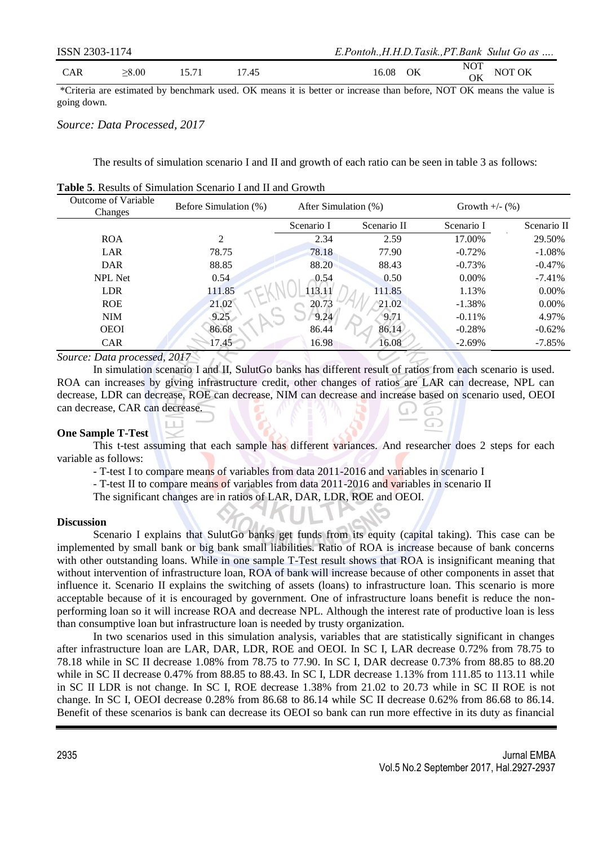| ISSN 2303-1174 |       |       |       | E.Pontoh., H.H.D.Tasik., PT.Bank Sulut Go as |
|----------------|-------|-------|-------|----------------------------------------------|
| <b>CAR</b>     | >8.00 | 15.71 | 17 45 | <b>NOT</b><br>NOT OK<br>16.08<br>OK          |

\*Criteria are estimated by benchmark used. OK means it is better or increase than before, NOT OK means the value is going down.

### *Source: Data Processed, 2017*

The results of simulation scenario I and II and growth of each ratio can be seen in table 3 as follows:

| Outcome of Variable<br>Changes | Before Simulation (%) |            | After Simulation (%) |            | Growth $+/-$ (%) |
|--------------------------------|-----------------------|------------|----------------------|------------|------------------|
|                                |                       | Scenario I | Scenario II          | Scenario I | Scenario II      |
| <b>ROA</b>                     | 2                     | 2.34       | 2.59                 | 17.00%     | 29.50%           |
| LAR                            | 78.75                 | 78.18      | 77.90                | $-0.72%$   | $-1.08%$         |
| <b>DAR</b>                     | 88.85                 | 88.20      | 88.43                | $-0.73%$   | $-0.47\%$        |
| <b>NPL Net</b>                 | 0.54                  | 0.54       | 0.50                 | $0.00\%$   | $-7.41%$         |
| <b>LDR</b>                     | 111.85                | 113.11     | 111.85               | 1.13%      | $0.00\%$         |
| <b>ROE</b>                     | 21.02                 | 20.73      | 21.02                | $-1.38%$   | $0.00\%$         |
| <b>NIM</b>                     | 9.25                  | 9.24       | 9.71                 | $-0.11%$   | 4.97%            |
| <b>OEOI</b>                    | 86.68                 | 86.44      | 86.14                | $-0.28%$   | $-0.62%$         |
| <b>CAR</b>                     | 17.45                 | 16.98      | 16.08                | $-2.69%$   | $-7.85%$         |

**Table 5**. Results of Simulation Scenario I and II and Growth

*Source: Data processed, 2017*

In simulation scenario I and II, SulutGo banks has different result of ratios from each scenario is used. ROA can increases by giving infrastructure credit, other changes of ratios are LAR can decrease, NPL can decrease, LDR can decrease, ROE can decrease, NIM can decrease and increase based on scenario used, OEOI can decrease, CAR can decrease.

### **One Sample T-Test**

This t-test assuming that each sample has different variances. And researcher does 2 steps for each variable as follows:

- T-test I to compare means of variables from data 2011-2016 and variables in scenario I

- T-test II to compare means of variables from data 2011-2016 and variables in scenario II

The significant changes are in ratios of LAR, DAR, LDR, ROE and OEOI.

#### **Discussion**

Scenario I explains that SulutGo banks get funds from its equity (capital taking). This case can be implemented by small bank or big bank small liabilities. Ratio of ROA is increase because of bank concerns with other outstanding loans. While in one sample T-Test result shows that ROA is insignificant meaning that without intervention of infrastructure loan, ROA of bank will increase because of other components in asset that influence it. Scenario II explains the switching of assets (loans) to infrastructure loan. This scenario is more acceptable because of it is encouraged by government. One of infrastructure loans benefit is reduce the nonperforming loan so it will increase ROA and decrease NPL. Although the interest rate of productive loan is less than consumptive loan but infrastructure loan is needed by trusty organization.

In two scenarios used in this simulation analysis, variables that are statistically significant in changes after infrastructure loan are LAR, DAR, LDR, ROE and OEOI. In SC I, LAR decrease 0.72% from 78.75 to 78.18 while in SC II decrease 1.08% from 78.75 to 77.90. In SC I, DAR decrease 0.73% from 88.85 to 88.20 while in SC II decrease 0.47% from 88.85 to 88.43. In SC I, LDR decrease 1.13% from 111.85 to 113.11 while in SC II LDR is not change. In SC I, ROE decrease 1.38% from 21.02 to 20.73 while in SC II ROE is not change. In SC I, OEOI decrease 0.28% from 86.68 to 86.14 while SC II decrease 0.62% from 86.68 to 86.14. Benefit of these scenarios is bank can decrease its OEOI so bank can run more effective in its duty as financial

⊙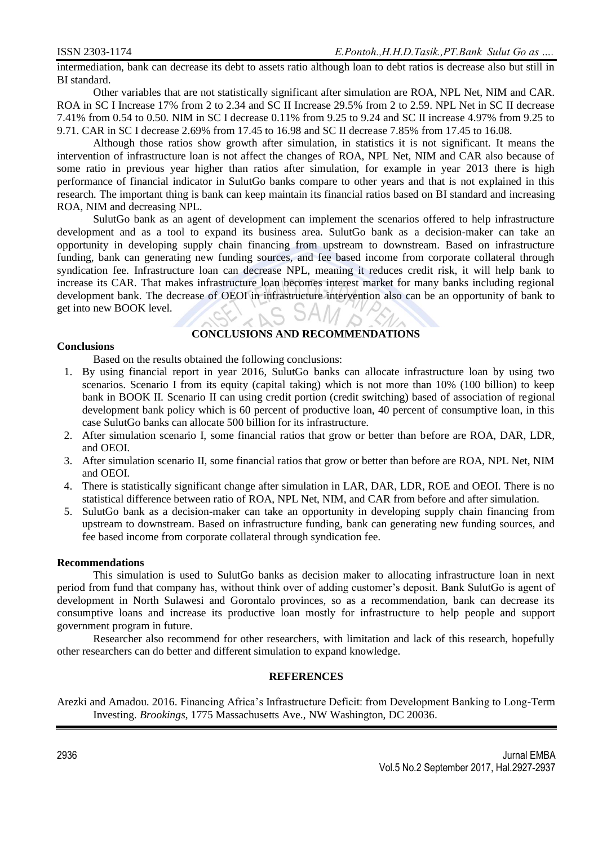intermediation, bank can decrease its debt to assets ratio although loan to debt ratios is decrease also but still in BI standard.

Other variables that are not statistically significant after simulation are ROA, NPL Net, NIM and CAR. ROA in SC I Increase 17% from 2 to 2.34 and SC II Increase 29.5% from 2 to 2.59. NPL Net in SC II decrease 7.41% from 0.54 to 0.50. NIM in SC I decrease 0.11% from 9.25 to 9.24 and SC II increase 4.97% from 9.25 to 9.71. CAR in SC I decrease 2.69% from 17.45 to 16.98 and SC II decrease 7.85% from 17.45 to 16.08.

Although those ratios show growth after simulation, in statistics it is not significant. It means the intervention of infrastructure loan is not affect the changes of ROA, NPL Net, NIM and CAR also because of some ratio in previous year higher than ratios after simulation, for example in year 2013 there is high performance of financial indicator in SulutGo banks compare to other years and that is not explained in this research. The important thing is bank can keep maintain its financial ratios based on BI standard and increasing ROA, NIM and decreasing NPL.

SulutGo bank as an agent of development can implement the scenarios offered to help infrastructure development and as a tool to expand its business area. SulutGo bank as a decision-maker can take an opportunity in developing supply chain financing from upstream to downstream. Based on infrastructure funding, bank can generating new funding sources, and fee based income from corporate collateral through syndication fee. Infrastructure loan can decrease NPL, meaning it reduces credit risk, it will help bank to increase its CAR. That makes infrastructure loan becomes interest market for many banks including regional development bank. The decrease of OEOI in infrastructure intervention also can be an opportunity of bank to get into new BOOK level.

# **CONCLUSIONS AND RECOMMENDATIONS**

#### **Conclusions**

Based on the results obtained the following conclusions:

- 1. By using financial report in year 2016, SulutGo banks can allocate infrastructure loan by using two scenarios. Scenario I from its equity (capital taking) which is not more than 10% (100 billion) to keep bank in BOOK II. Scenario II can using credit portion (credit switching) based of association of regional development bank policy which is 60 percent of productive loan, 40 percent of consumptive loan, in this case SulutGo banks can allocate 500 billion for its infrastructure.
- 2. After simulation scenario I, some financial ratios that grow or better than before are ROA, DAR, LDR, and OEOI.
- 3. After simulation scenario II, some financial ratios that grow or better than before are ROA, NPL Net, NIM and OEOI.
- 4. There is statistically significant change after simulation in LAR, DAR, LDR, ROE and OEOI. There is no statistical difference between ratio of ROA, NPL Net, NIM, and CAR from before and after simulation.
- 5. SulutGo bank as a decision-maker can take an opportunity in developing supply chain financing from upstream to downstream. Based on infrastructure funding, bank can generating new funding sources, and fee based income from corporate collateral through syndication fee.

### **Recommendations**

This simulation is used to SulutGo banks as decision maker to allocating infrastructure loan in next period from fund that company has, without think over of adding customer's deposit. Bank SulutGo is agent of development in North Sulawesi and Gorontalo provinces, so as a recommendation, bank can decrease its consumptive loans and increase its productive loan mostly for infrastructure to help people and support government program in future.

Researcher also recommend for other researchers, with limitation and lack of this research, hopefully other researchers can do better and different simulation to expand knowledge.

# **REFERENCES**

Arezki and Amadou. 2016. Financing Africa's Infrastructure Deficit: from Development Banking to Long-Term Investing. *Brookings*, 1775 Massachusetts Ave., NW Washington, DC 20036.